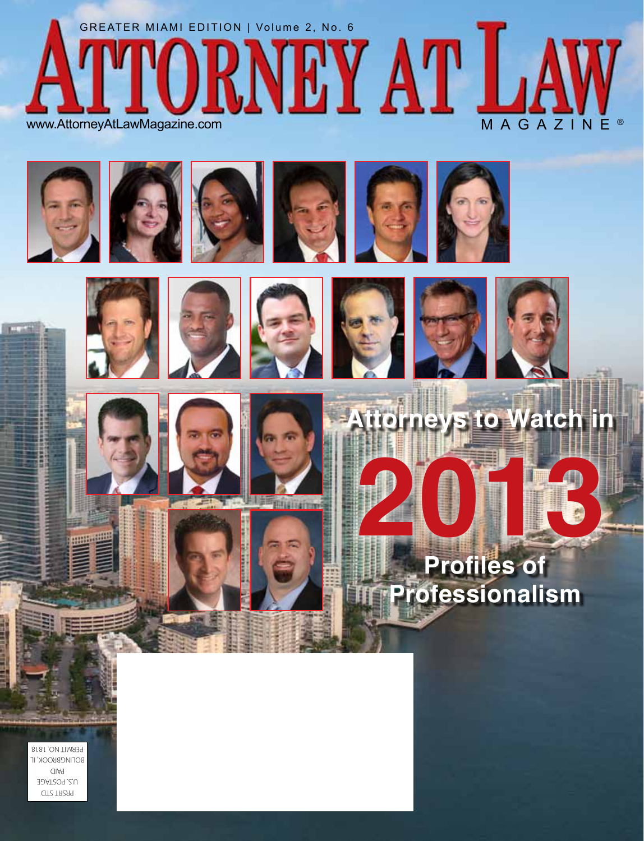













**Romeys to Watch i** 







PRSRT STD U.S. POSTAGE PAID BOLINGBROOK, IL PERMIT NO. 1818